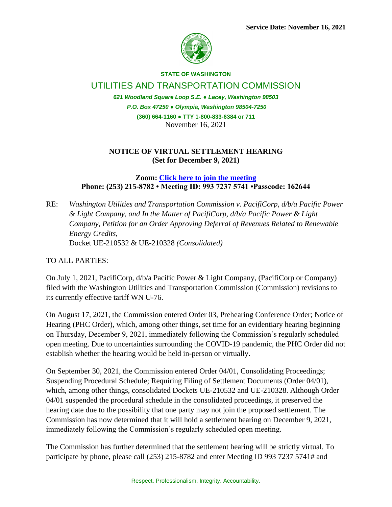

## **STATE OF WASHINGTON**

UTILITIES AND TRANSPORTATION COMMISSION

*621 Woodland Square Loop S.E. ● Lacey, Washington 98503 P.O. Box 47250 ● Olympia, Washington 98504-7250* **(360) 664-1160 ● TTY 1-800-833-6384 or 711** November 16, 2021

## **NOTICE OF VIRTUAL SETTLEMENT HEARING (Set for December 9, 2021)**

**Zoom: [Click here to join the meeting](https://utc-wa-gov.zoom.us/j/99372375741?pwd=d2dLeGEwdlNub1FGNHFmNWM5SWJFdz09) Phone: (253) 215-8782 • Meeting ID: 993 7237 5741 •Passcode: 162644**

RE: *Washington Utilities and Transportation Commission v. PacifiCorp, d/b/a Pacific Power & Light Company, and In the Matter of PacifiCorp, d/b/a Pacific Power & Light Company, Petition for an Order Approving Deferral of Revenues Related to Renewable Energy Credits,*  Docket UE-210532 & UE-210328 *(Consolidated)*

## TO ALL PARTIES:

On July 1, 2021, PacifiCorp, d/b/a Pacific Power & Light Company, (PacifiCorp or Company) filed with the Washington Utilities and Transportation Commission (Commission) revisions to its currently effective tariff WN U-76.

On August 17, 2021, the Commission entered Order 03, Prehearing Conference Order; Notice of Hearing (PHC Order), which, among other things, set time for an evidentiary hearing beginning on Thursday, December 9, 2021, immediately following the Commission's regularly scheduled open meeting. Due to uncertainties surrounding the COVID-19 pandemic, the PHC Order did not establish whether the hearing would be held in-person or virtually.

On September 30, 2021, the Commission entered Order 04/01, Consolidating Proceedings; Suspending Procedural Schedule; Requiring Filing of Settlement Documents (Order 04/01), which, among other things, consolidated Dockets UE-210532 and UE-210328. Although Order 04/01 suspended the procedural schedule in the consolidated proceedings, it preserved the hearing date due to the possibility that one party may not join the proposed settlement. The Commission has now determined that it will hold a settlement hearing on December 9, 2021, immediately following the Commission's regularly scheduled open meeting.

The Commission has further determined that the settlement hearing will be strictly virtual. To participate by phone, please call (253) 215-8782 and enter Meeting ID 993 7237 5741# and